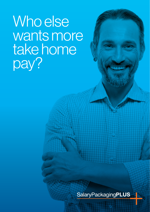# Who else wants more take home pay?

**SalaryPackagingPLUS**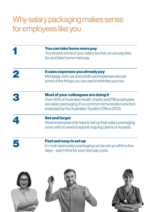### Why salary packaging makes sense for employees like you

| You can take home more pay<br>You receive some of your salary tax free, so you pay less<br>tax and take home more pay.                                                                                             |
|--------------------------------------------------------------------------------------------------------------------------------------------------------------------------------------------------------------------|
| It uses expenses you already pay<br>Mortgage, rent, car and credit card expenses are just<br>some of the things you can use to minimise your tax.                                                                  |
| Most of your colleagues are doing it<br>Over 60% of Australian health, charity and PBI employees<br>are salary packaging. It's a common remuneration practice<br>endorsed by the Australian Taxation Office (ATO). |
| <b>Set and forget</b><br>Most employees only have to set up their salary packaging<br>once, with no need to submit ongoing claims or receipts.                                                                     |
| <b>Fast and easy to set up</b><br>In most cases salary packaging can be set up within a few<br>days - just in time for your next pay cycle.                                                                        |

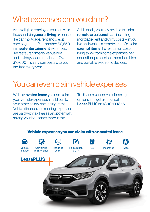#### What expenses can you claim?

As an eligible employee you can claim thousands in **general living** expenses like car, mortgage, rent and credit card payments. Plus another \$2,650 in **meal entertainment** expenses. like restaurant meals, venue hire and holiday accommodation. Over \$10,000 in salary can be paid to you tax-free every year.

Additionally you may be able to claim remote area benefits—including mortgage, rent and utility costs— if you live and work in a remote area. Or claim **exempt items** like relocation costs living away from home expenses, self education, professional memberships and portable electronic devices.

#### You can even claim vehicle expenses

With a **novated lease** you can claim your vehicle expenses in addition to your other salary packaging items. Vehicle finance and running expenses are paid with tax free salary, potentially saving you thousands more in tax.

To discuss your novated leasing options and get a quote call LeasePLUS on 1300 13 13 16.